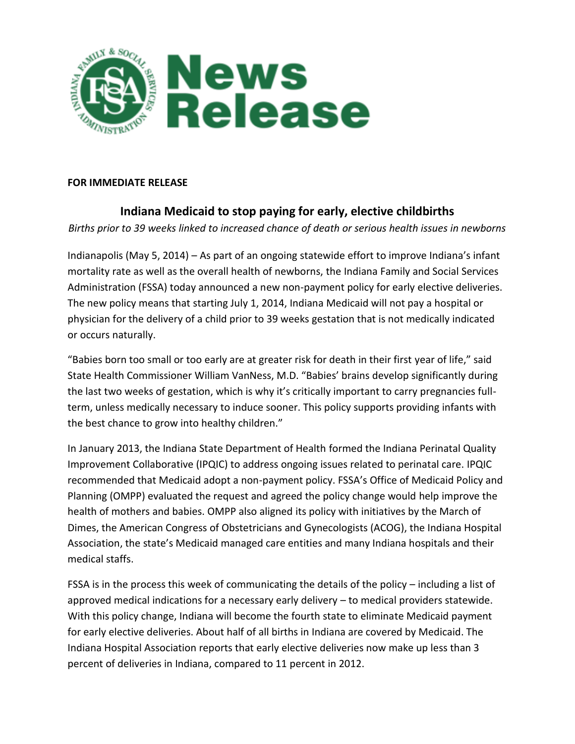

## **FOR IMMEDIATE RELEASE**

## **Indiana Medicaid to stop paying for early, elective childbirths**

*Births prior to 39 weeks linked to increased chance of death or serious health issues in newborns*

Indianapolis (May 5, 2014) – As part of an ongoing statewide effort to improve Indiana's infant mortality rate as well as the overall health of newborns, the Indiana Family and Social Services Administration (FSSA) today announced a new non-payment policy for early elective deliveries. The new policy means that starting July 1, 2014, Indiana Medicaid will not pay a hospital or physician for the delivery of a child prior to 39 weeks gestation that is not medically indicated or occurs naturally.

"Babies born too small or too early are at greater risk for death in their first year of life," said State Health Commissioner William VanNess, M.D. "Babies' brains develop significantly during the last two weeks of gestation, which is why it's critically important to carry pregnancies fullterm, unless medically necessary to induce sooner. This policy supports providing infants with the best chance to grow into healthy children."

In January 2013, the Indiana State Department of Health formed the Indiana Perinatal Quality Improvement Collaborative (IPQIC) to address ongoing issues related to perinatal care. IPQIC recommended that Medicaid adopt a non-payment policy. FSSA's Office of Medicaid Policy and Planning (OMPP) evaluated the request and agreed the policy change would help improve the health of mothers and babies. OMPP also aligned its policy with initiatives by the March of Dimes, the American Congress of Obstetricians and Gynecologists (ACOG), the Indiana Hospital Association, the state's Medicaid managed care entities and many Indiana hospitals and their medical staffs.

FSSA is in the process this week of communicating the details of the policy – including a list of approved medical indications for a necessary early delivery – to medical providers statewide. With this policy change, Indiana will become the fourth state to eliminate Medicaid payment for early elective deliveries. About half of all births in Indiana are covered by Medicaid. The Indiana Hospital Association reports that early elective deliveries now make up less than 3 percent of deliveries in Indiana, compared to 11 percent in 2012.